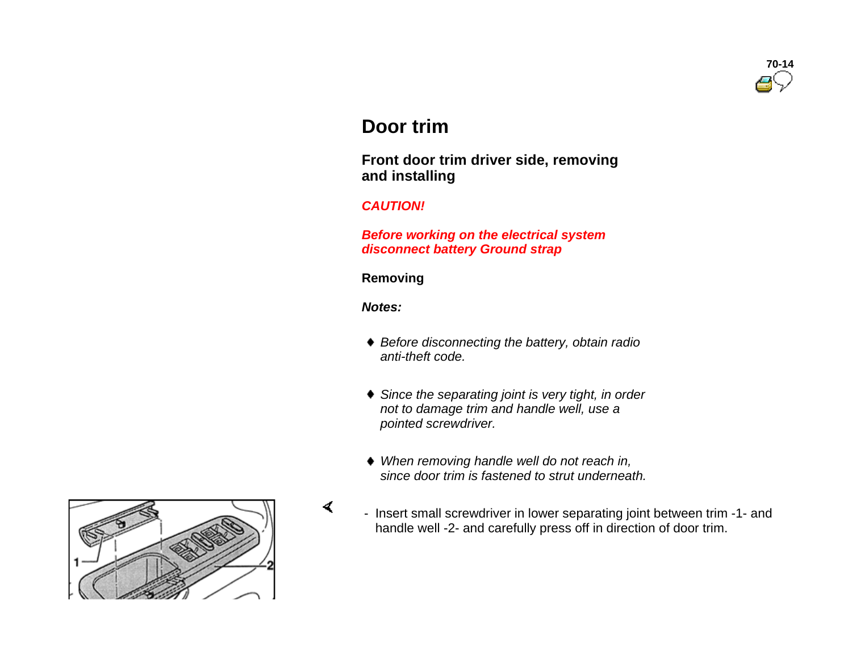

# **Door trim**

 **Front door trim driver side, removing and installing**

# *CAUTION!*

 *Before working on the electrical system disconnect battery Ground strap* 

#### **Removing**

*Notes:*

- *Before disconnecting the battery, obtain radio anti-theft code.*
- *Since the separating joint is very tight, in order not to damage trim and handle well, use a pointed screwdriver.*
- *When removing handle well do not reach in, since door trim is fastened to strut underneath.*
- Insert small screwdriver in lower separating joint between trim -1- and handle well -2- and carefully press off in direction of door trim.

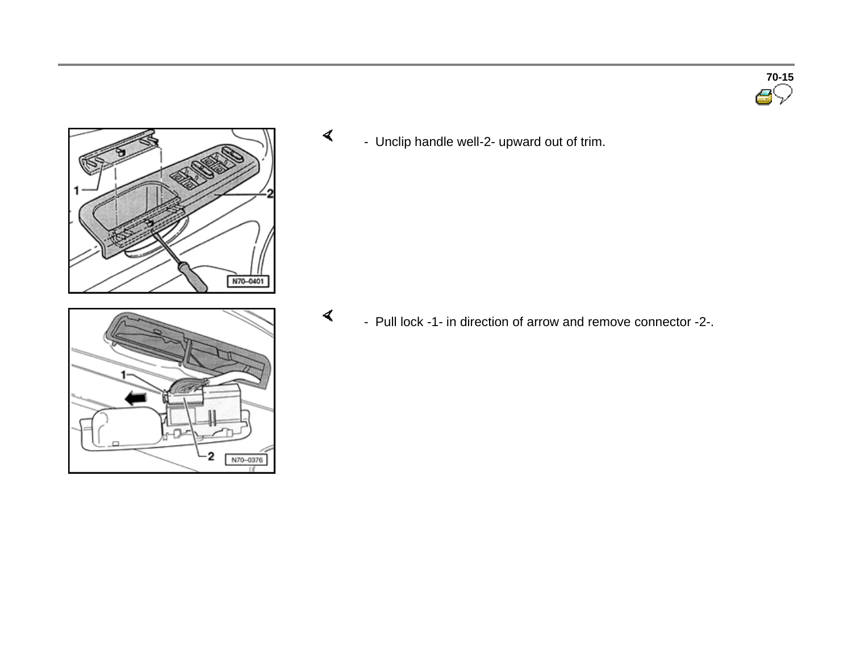

 $\mathbf 2$ 

N70-0376

 $\prec$ 

 $\prec$ - Unclip handle well-2- upward out of trim.

- Pull lock -1- in direction of arrow and remove connector -2-.

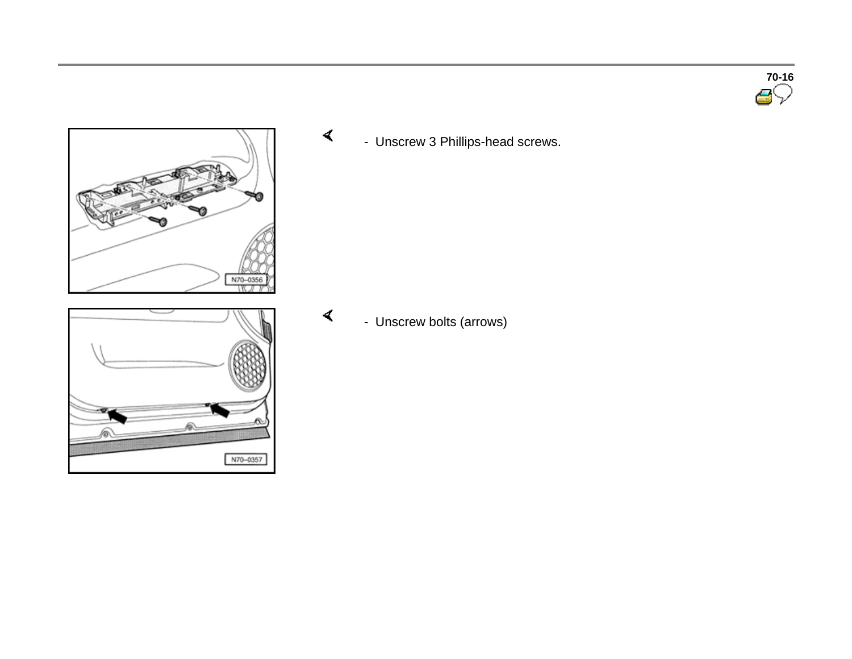



N70-0357

 $\blacktriangleleft$ - Unscrew 3 Phillips-head screws.

- Unscrew bolts (arrows)

 $\prec$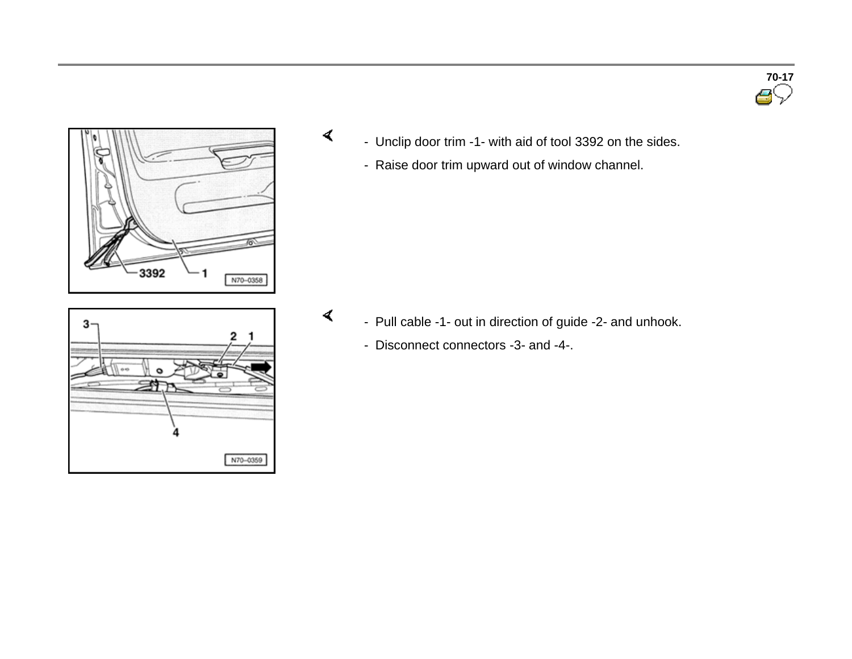# **70-17**



 $\blacktriangleleft$ 



- Raise door trim upward out of window channel.

- $\blacktriangleleft$  - Pull cable -1- out in direction of guide -2- and unhook.
	- Disconnect connectors -3- and -4-.

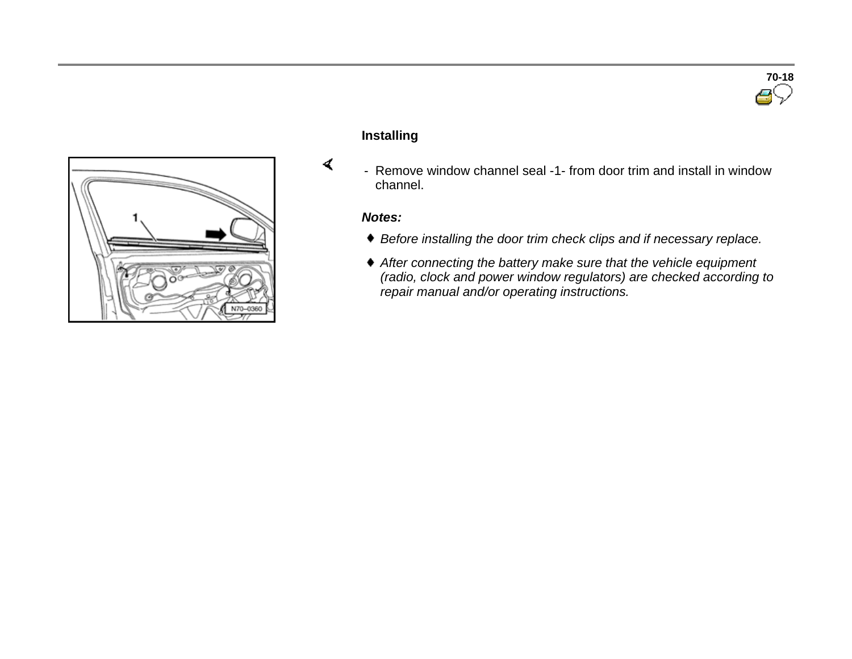

#### **Installing**

- Remove window channel seal -1- from door trim and install in window channel.

# *Notes:*

- *Before installing the door trim check clips and if necessary replace.*
- *After connecting the battery make sure that the vehicle equipment (radio, clock and power window regulators) are checked according to repair manual and/or operating instructions.*

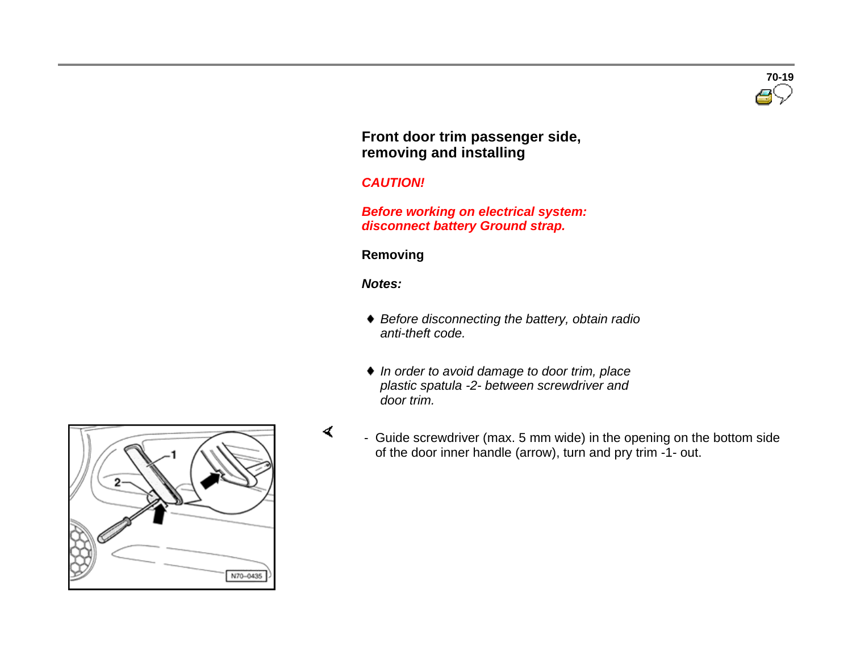

# **Front door trim passenger side, removing and installing**

# *CAUTION!*

 *Before working on electrical system: disconnect battery Ground strap.*

# **Removing**

*Notes:*

 $\prec$ 

- *Before disconnecting the battery, obtain radio anti-theft code.*
- *In order to avoid damage to door trim, place plastic spatula -2- between screwdriver and door trim.*
- Guide screwdriver (max. 5 mm wide) in the opening on the bottom side of the door inner handle (arrow), turn and pry trim -1- out.

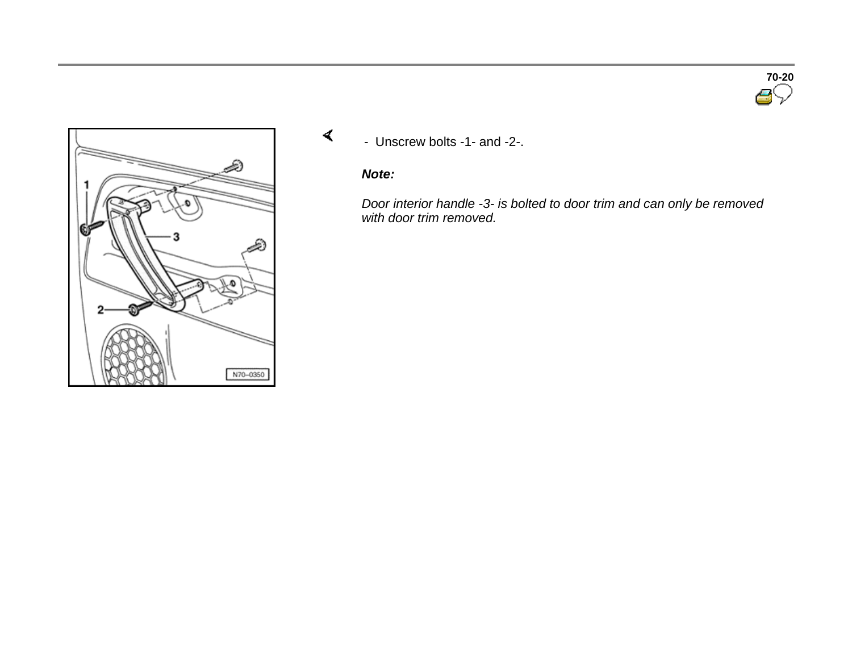

 $\blacktriangleleft$ - Unscrew bolts -1- and -2-.

# *Note:*

*Door interior handle -3- is bolted to door trim and can only be removed with door trim removed.*

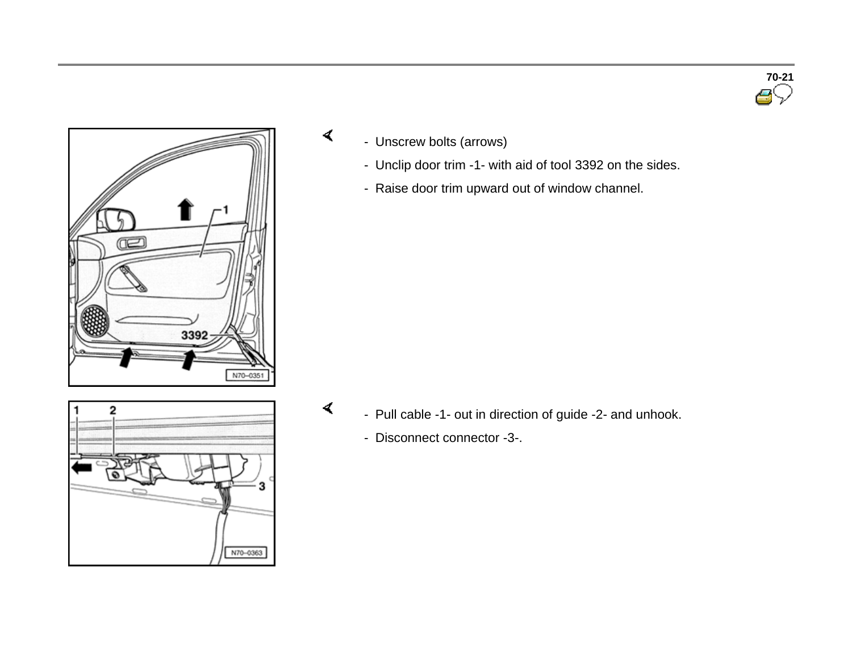

- Unscrew bolts (arrows)

 $\blacktriangleleft$ 

- Unclip door trim -1- with aid of tool 3392 on the sides.
- Raise door trim upward out of window channel.

- າ N70-0363
- Pull cable -1- out in direction of guide -2- and unhook.
	- Disconnect connector -3-.

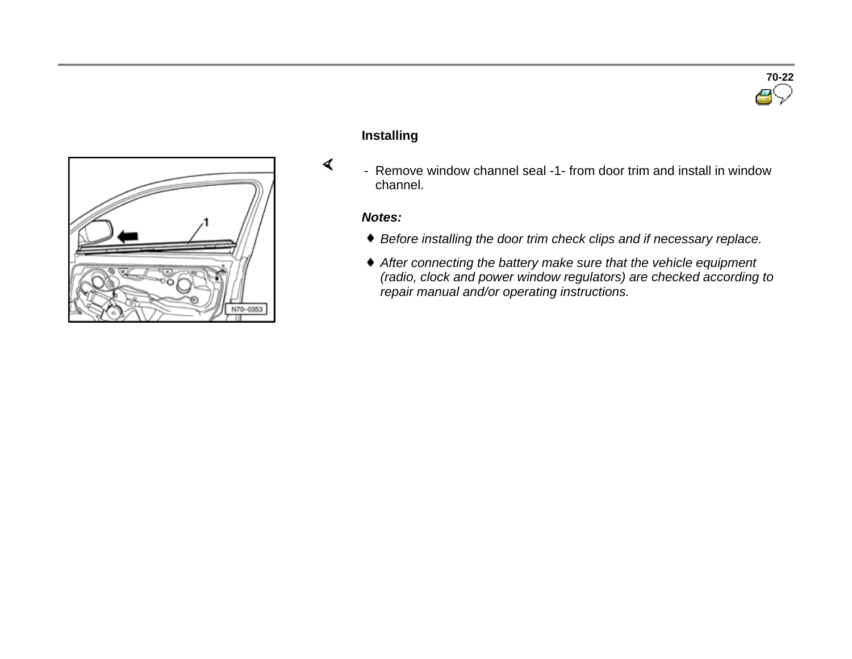

#### **Installing**

- Remove window channel seal -1- from door trim and install in window channel.

# *Notes:*

- *Before installing the door trim check clips and if necessary replace.*
- *After connecting the battery make sure that the vehicle equipment (radio, clock and power window regulators) are checked according to repair manual and/or operating instructions.*

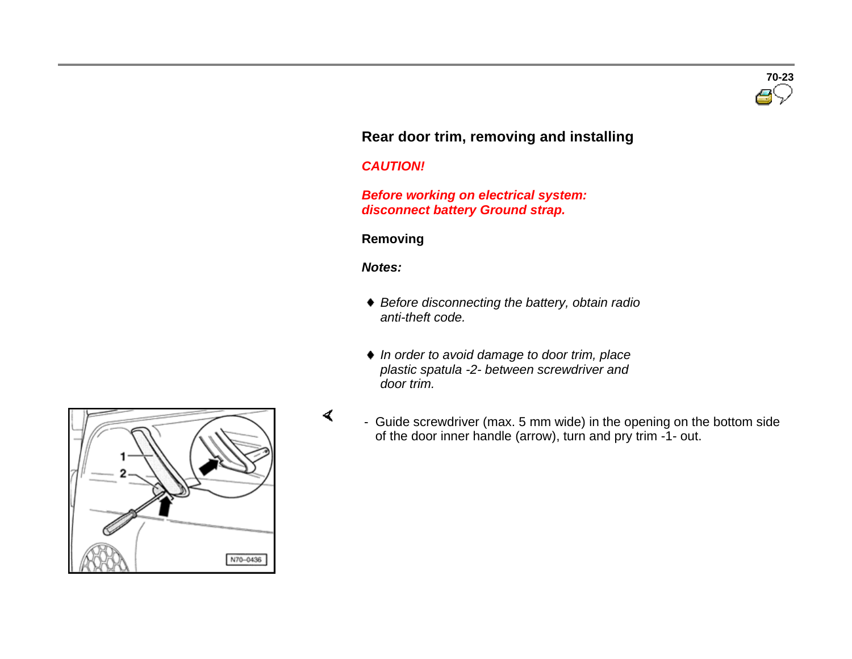

# **Rear door trim, removing and installing**

#### *CAUTION!*

 *Before working on electrical system: disconnect battery Ground strap.*

#### **Removing**

#### *Notes:*

- *Before disconnecting the battery, obtain radio anti-theft code.*
- *In order to avoid damage to door trim, place plastic spatula -2- between screwdriver and door trim.*
- Guide screwdriver (max. 5 mm wide) in the opening on the bottom side of the door inner handle (arrow), turn and pry trim -1- out.

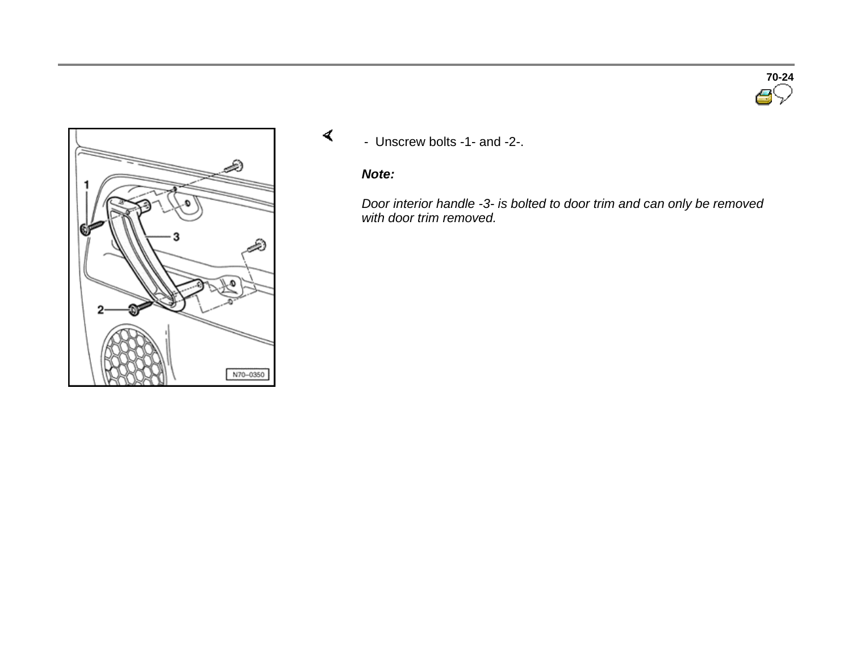

 $\blacktriangleleft$ - Unscrew bolts -1- and -2-.

# *Note:*

*Door interior handle -3- is bolted to door trim and can only be removed with door trim removed.*

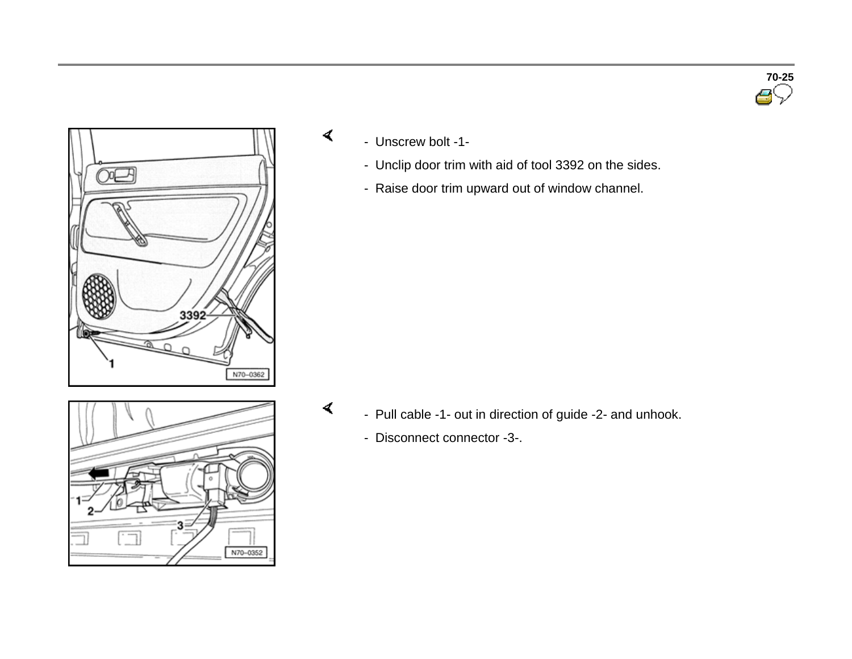

- Unscrew bolt -1-

 $\blacktriangleleft$ 

 $\blacktriangleleft$ 

- Unclip door trim with aid of tool 3392 on the sides.
- Raise door trim upward out of window channel.

з N70-0352

- Pull cable -1- out in direction of guide -2- and unhook.
	- Disconnect connector -3-.